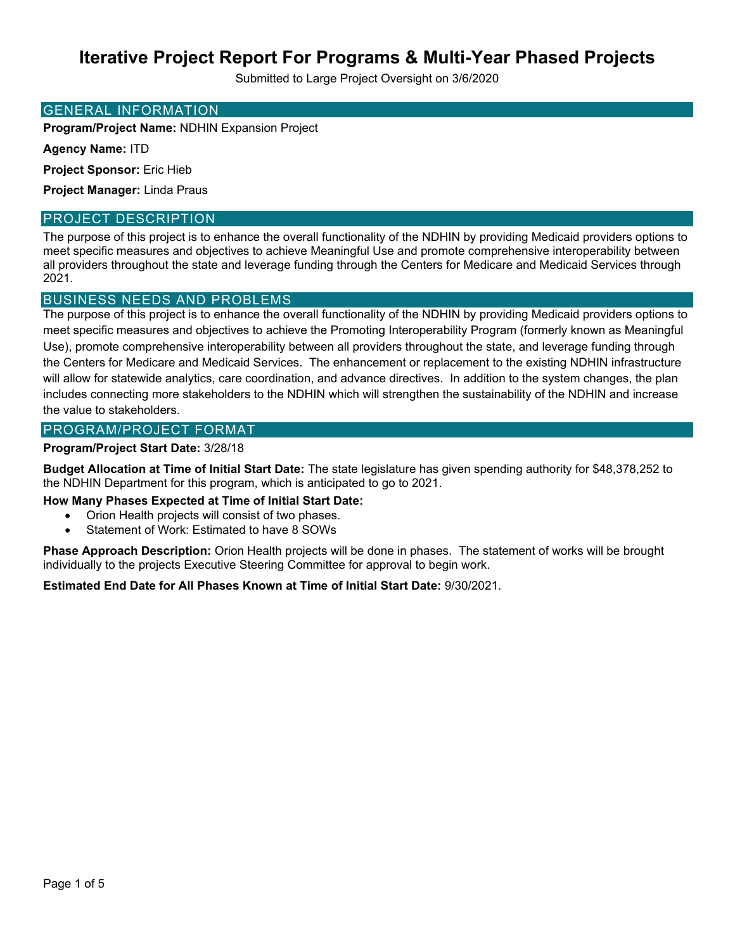Submitted to Large Project Oversight on 3/6/2020

#### GENERAL INFORMATION

**Program/Project Name:** NDHIN Expansion Project

**Agency Name:** ITD

**Project Sponsor:** Eric Hieb

**Project Manager:** Linda Praus

#### PROJECT DESCRIPTION

The purpose of this project is to enhance the overall functionality of the NDHIN by providing Medicaid providers options to meet specific measures and objectives to achieve Meaningful Use and promote comprehensive interoperability between all providers throughout the state and leverage funding through the Centers for Medicare and Medicaid Services through 2021.

### BUSINESS NEEDS AND PROBLEMS

The purpose of this project is to enhance the overall functionality of the NDHIN by providing Medicaid providers options to meet specific measures and objectives to achieve the Promoting Interoperability Program (formerly known as Meaningful Use), promote comprehensive interoperability between all providers throughout the state, and leverage funding through the Centers for Medicare and Medicaid Services. The enhancement or replacement to the existing NDHIN infrastructure will allow for statewide analytics, care coordination, and advance directives. In addition to the system changes, the plan includes connecting more stakeholders to the NDHIN which will strengthen the sustainability of the NDHIN and increase the value to stakeholders.

#### PROGRAM/PROJECT FORMAT

#### **Program/Project Start Date:** 3/28/18

**Budget Allocation at Time of Initial Start Date:** The state legislature has given spending authority for \$48,378,252 to the NDHIN Department for this program, which is anticipated to go to 2021.

**How Many Phases Expected at Time of Initial Start Date:** 

- Orion Health projects will consist of two phases.
- Statement of Work: Estimated to have 8 SOWs

**Phase Approach Description:** Orion Health projects will be done in phases. The statement of works will be brought individually to the projects Executive Steering Committee for approval to begin work.

**Estimated End Date for All Phases Known at Time of Initial Start Date:** 9/30/2021.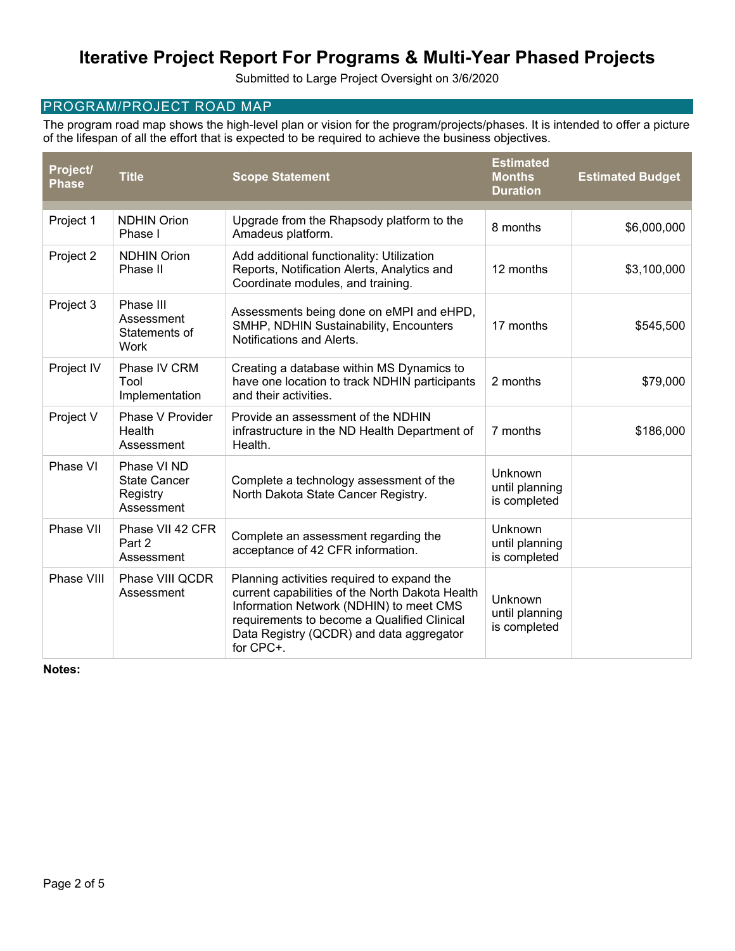Submitted to Large Project Oversight on 3/6/2020

### PROGRAM/PROJECT ROAD MAP

The program road map shows the high-level plan or vision for the program/projects/phases. It is intended to offer a picture of the lifespan of all the effort that is expected to be required to achieve the business objectives.

| Project/<br><b>Phase</b> | <b>Title</b>                                                 | <b>Scope Statement</b>                                                                                                                                                                                                                           | <b>Estimated</b><br><b>Months</b><br><b>Duration</b> | <b>Estimated Budget</b> |
|--------------------------|--------------------------------------------------------------|--------------------------------------------------------------------------------------------------------------------------------------------------------------------------------------------------------------------------------------------------|------------------------------------------------------|-------------------------|
| Project 1                | <b>NDHIN Orion</b><br>Phase I                                | Upgrade from the Rhapsody platform to the<br>Amadeus platform.                                                                                                                                                                                   | 8 months                                             | \$6,000,000             |
| Project 2                | <b>NDHIN Orion</b><br>Phase II                               | Add additional functionality: Utilization<br>Reports, Notification Alerts, Analytics and<br>Coordinate modules, and training.                                                                                                                    | 12 months                                            | \$3,100,000             |
| Project 3                | Phase III<br>Assessment<br>Statements of<br>Work             | Assessments being done on eMPI and eHPD,<br>SMHP, NDHIN Sustainability, Encounters<br>Notifications and Alerts.                                                                                                                                  | 17 months                                            | \$545,500               |
| Project IV               | Phase IV CRM<br>Tool<br>Implementation                       | Creating a database within MS Dynamics to<br>have one location to track NDHIN participants<br>and their activities.                                                                                                                              | 2 months                                             | \$79,000                |
| Project V                | Phase V Provider<br>Health<br>Assessment                     | Provide an assessment of the NDHIN<br>infrastructure in the ND Health Department of<br>Health.                                                                                                                                                   | 7 months                                             | \$186,000               |
| Phase VI                 | Phase VI ND<br><b>State Cancer</b><br>Registry<br>Assessment | Complete a technology assessment of the<br>North Dakota State Cancer Registry.                                                                                                                                                                   | Unknown<br>until planning<br>is completed            |                         |
| Phase VII                | Phase VII 42 CFR<br>Part 2<br>Assessment                     | Complete an assessment regarding the<br>acceptance of 42 CFR information.                                                                                                                                                                        | Unknown<br>until planning<br>is completed            |                         |
| Phase VIII               | Phase VIII QCDR<br>Assessment                                | Planning activities required to expand the<br>current capabilities of the North Dakota Health<br>Information Network (NDHIN) to meet CMS<br>requirements to become a Qualified Clinical<br>Data Registry (QCDR) and data aggregator<br>for CPC+. | Unknown<br>until planning<br>is completed            |                         |

**Notes:**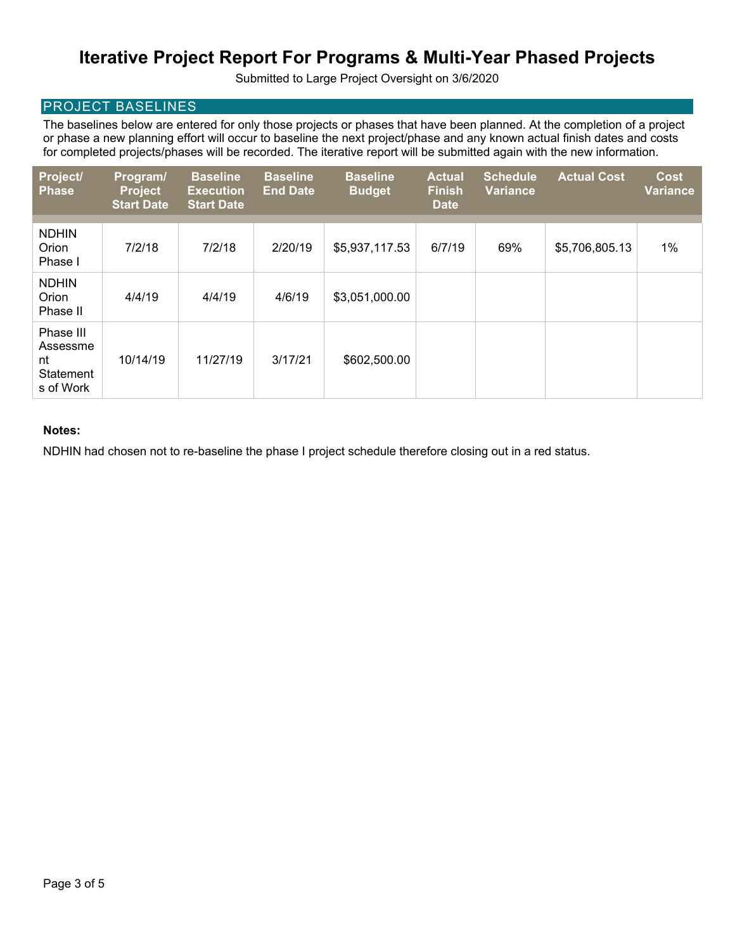Submitted to Large Project Oversight on 3/6/2020

### PROJECT BASELINES

The baselines below are entered for only those projects or phases that have been planned. At the completion of a project or phase a new planning effort will occur to baseline the next project/phase and any known actual finish dates and costs for completed projects/phases will be recorded. The iterative report will be submitted again with the new information.

| Project/<br><b>Phase</b>                              | Program/<br><b>Project</b><br><b>Start Date</b> | <b>Baseline</b><br><b>Execution</b><br><b>Start Date</b> | <b>Baseline</b><br><b>End Date</b> | <b>Baseline</b><br><b>Budget</b> | <b>Actual</b><br><b>Finish</b><br><b>Date</b> | <b>Schedule</b><br><b>Variance</b> | <b>Actual Cost</b> | <b>Cost</b><br><b>Variance</b> |
|-------------------------------------------------------|-------------------------------------------------|----------------------------------------------------------|------------------------------------|----------------------------------|-----------------------------------------------|------------------------------------|--------------------|--------------------------------|
|                                                       |                                                 |                                                          |                                    |                                  |                                               |                                    |                    |                                |
| <b>NDHIN</b><br>Orion<br>Phase I                      | 7/2/18                                          | 7/2/18                                                   | 2/20/19                            | \$5,937,117.53                   | 6/7/19                                        | 69%                                | \$5,706,805.13     | $1\%$                          |
| <b>NDHIN</b><br>Orion<br>Phase II                     | 4/4/19                                          | 4/4/19                                                   | 4/6/19                             | \$3,051,000.00                   |                                               |                                    |                    |                                |
| Phase III<br>Assessme<br>nt<br>Statement<br>s of Work | 10/14/19                                        | 11/27/19                                                 | 3/17/21                            | \$602,500.00                     |                                               |                                    |                    |                                |

#### **Notes:**

NDHIN had chosen not to re-baseline the phase I project schedule therefore closing out in a red status.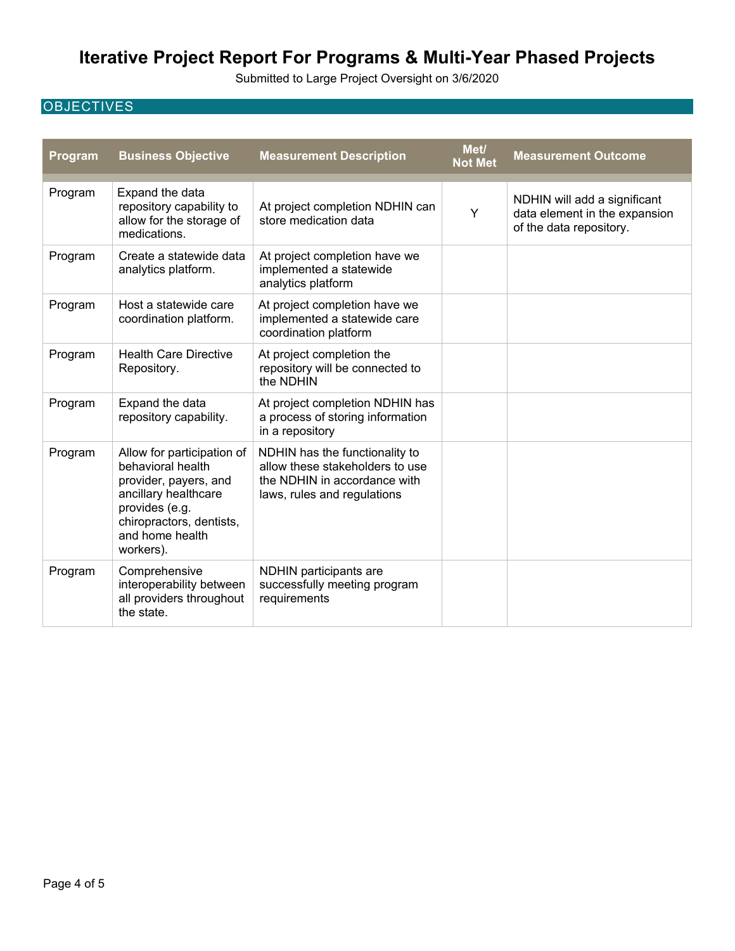Submitted to Large Project Oversight on 3/6/2020

## **OBJECTIVES**

| Program | <b>Business Objective</b>                                                                                                                                                      | <b>Measurement Description</b>                                                                                                   | Met/<br><b>Not Met</b> | <b>Measurement Outcome</b>                                                               |
|---------|--------------------------------------------------------------------------------------------------------------------------------------------------------------------------------|----------------------------------------------------------------------------------------------------------------------------------|------------------------|------------------------------------------------------------------------------------------|
| Program | Expand the data<br>repository capability to<br>allow for the storage of<br>medications.                                                                                        | At project completion NDHIN can<br>store medication data                                                                         | Y                      | NDHIN will add a significant<br>data element in the expansion<br>of the data repository. |
| Program | Create a statewide data<br>analytics platform.                                                                                                                                 | At project completion have we<br>implemented a statewide<br>analytics platform                                                   |                        |                                                                                          |
| Program | Host a statewide care<br>coordination platform.                                                                                                                                | At project completion have we<br>implemented a statewide care<br>coordination platform                                           |                        |                                                                                          |
| Program | <b>Health Care Directive</b><br>Repository.                                                                                                                                    | At project completion the<br>repository will be connected to<br>the NDHIN                                                        |                        |                                                                                          |
| Program | Expand the data<br>repository capability.                                                                                                                                      | At project completion NDHIN has<br>a process of storing information<br>in a repository                                           |                        |                                                                                          |
| Program | Allow for participation of<br>behavioral health<br>provider, payers, and<br>ancillary healthcare<br>provides (e.g.<br>chiropractors, dentists,<br>and home health<br>workers). | NDHIN has the functionality to<br>allow these stakeholders to use<br>the NDHIN in accordance with<br>laws, rules and regulations |                        |                                                                                          |
| Program | Comprehensive<br>interoperability between<br>all providers throughout<br>the state.                                                                                            | NDHIN participants are<br>successfully meeting program<br>requirements                                                           |                        |                                                                                          |